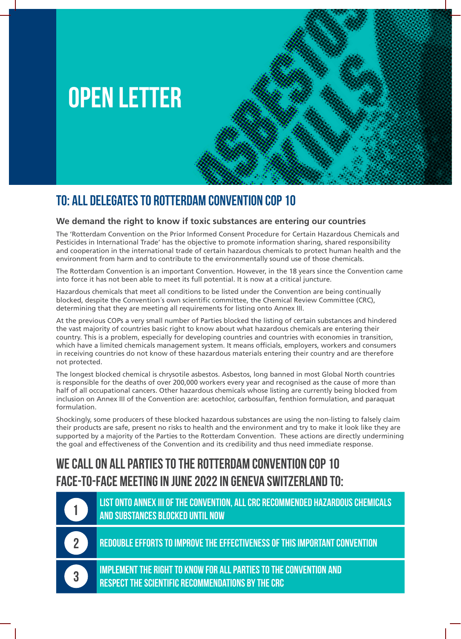

## **To: All delegates to Rotterdam Convention COP 10**

## **We demand the right to know if toxic substances are entering our countries**

The 'Rotterdam Convention on the Prior Informed Consent Procedure for Certain Hazardous Chemicals and Pesticides in International Trade' has the objective to promote information sharing, shared responsibility and cooperation in the international trade of certain hazardous chemicals to protect human health and the environment from harm and to contribute to the environmentally sound use of those chemicals.

The Rotterdam Convention is an important Convention. However, in the 18 years since the Convention came into force it has not been able to meet its full potential. It is now at a critical juncture.

Hazardous chemicals that meet all conditions to be listed under the Convention are being continually blocked, despite the Convention´s own scientific committee, the Chemical Review Committee (CRC), determining that they are meeting all requirements for listing onto Annex III.

At the previous COPs a very small number of Parties blocked the listing of certain substances and hindered the vast majority of countries basic right to know about what hazardous chemicals are entering their country. This is a problem, especially for developing countries and countries with economies in transition, which have a limited chemicals management system. It means officials, employers, workers and consumers in receiving countries do not know of these hazardous materials entering their country and are therefore not protected.

The longest blocked chemical is chrysotile asbestos. Asbestos, long banned in most Global North countries is responsible for the deaths of over 200,000 workers every year and recognised as the cause of more than half of all occupational cancers. Other hazardous chemicals whose listing are currently being blocked from inclusion on Annex III of the Convention are: acetochlor, carbosulfan, fenthion formulation, and paraquat formulation.

Shockingly, some producers of these blocked hazardous substances are using the non-listing to falsely claim their products are safe, present no risks to health and the environment and try to make it look like they are supported by a majority of the Parties to the Rotterdam Convention. These actions are directly undermining the goal and effectiveness of the Convention and its credibility and thus need immediate response.

## **We call on all Parties to the Rotterdam Convention COP 10 face-to-face meeting in June 2022 in Geneva Switzerland to:**

**List onto Annex III of the Convention, all CRC recommended hazardous chemicals and substances blocked until now**

**2**

**3**

**1**

**Redouble efforts to improve the effectiveness of this important Convention**

**Implement the right to know for all Parties to the Convention and respect the scientific recommendations by the CRC**